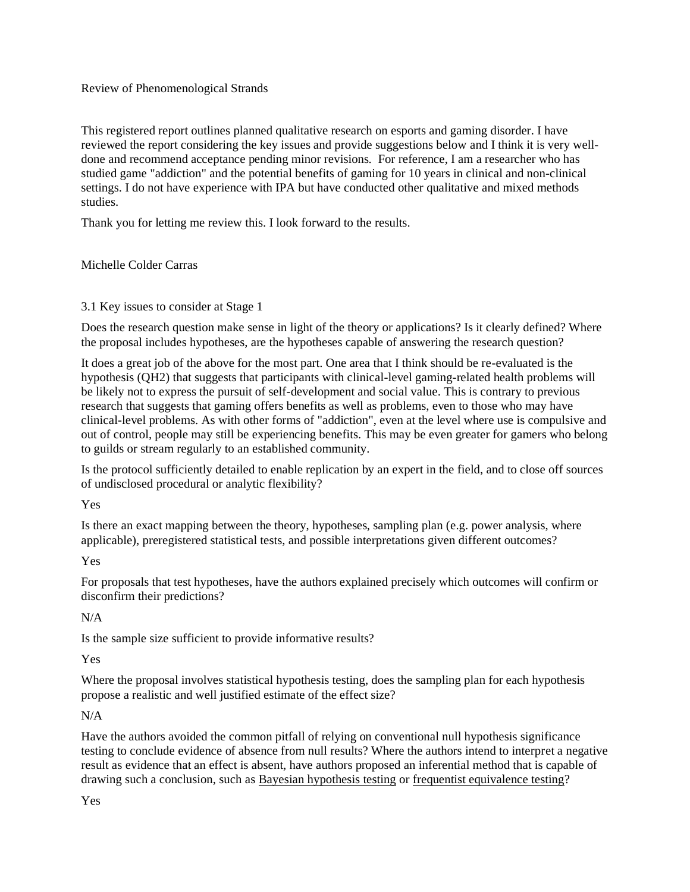### Review of Phenomenological Strands

This registered report outlines planned qualitative research on esports and gaming disorder. I have reviewed the report considering the key issues and provide suggestions below and I think it is very welldone and recommend acceptance pending minor revisions. For reference, I am a researcher who has studied game "addiction" and the potential benefits of gaming for 10 years in clinical and non-clinical settings. I do not have experience with IPA but have conducted other qualitative and mixed methods studies.

Thank you for letting me review this. I look forward to the results.

# Michelle Colder Carras

# 3.1 Key issues to consider at Stage 1

Does the research question make sense in light of the theory or applications? Is it clearly defined? Where the proposal includes hypotheses, are the hypotheses capable of answering the research question?

It does a great job of the above for the most part. One area that I think should be re-evaluated is the hypothesis (QH2) that suggests that participants with clinical-level gaming-related health problems will be likely not to express the pursuit of self-development and social value. This is contrary to previous research that suggests that gaming offers benefits as well as problems, even to those who may have clinical-level problems. As with other forms of "addiction", even at the level where use is compulsive and out of control, people may still be experiencing benefits. This may be even greater for gamers who belong to guilds or stream regularly to an established community.

Is the protocol sufficiently detailed to enable replication by an expert in the field, and to close off sources of undisclosed procedural or analytic flexibility?

Yes

Is there an exact mapping between the theory, hypotheses, sampling plan (e.g. power analysis, where applicable), preregistered statistical tests, and possible interpretations given different outcomes?

Yes

For proposals that test hypotheses, have the authors explained precisely which outcomes will confirm or disconfirm their predictions?

# N/A

Is the sample size sufficient to provide informative results?

Yes

Where the proposal involves statistical hypothesis testing, does the sampling plan for each hypothesis propose a realistic and well justified estimate of the effect size?

# N/A

Have the authors avoided the common pitfall of relying on conventional null hypothesis significance testing to conclude evidence of absence from null results? Where the authors intend to interpret a negative result as evidence that an effect is absent, have authors proposed an inferential method that is capable of drawing such a conclusion, such as [Bayesian hypothesis testing](https://www.frontiersin.org/articles/10.3389/fpsyg.2014.00781/full) or [frequentist equivalence testing?](https://journals.sagepub.com/doi/full/10.1177/2515245918770963)

Yes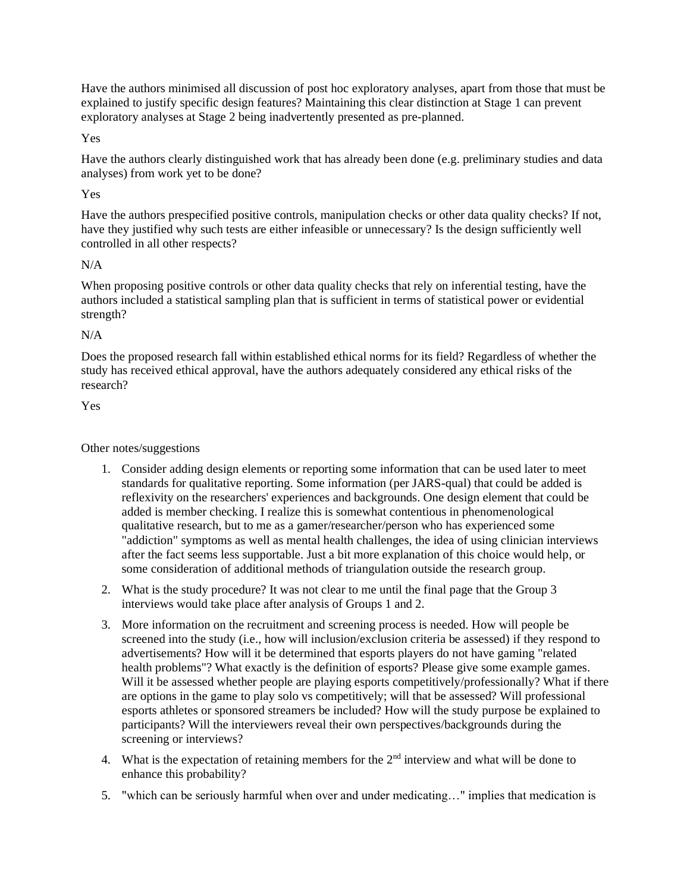Have the authors minimised all discussion of post hoc exploratory analyses, apart from those that must be explained to justify specific design features? Maintaining this clear distinction at Stage 1 can prevent exploratory analyses at Stage 2 being inadvertently presented as pre-planned.

### Yes

Have the authors clearly distinguished work that has already been done (e.g. preliminary studies and data analyses) from work yet to be done?

### Yes

Have the authors prespecified positive controls, manipulation checks or other data quality checks? If not, have they justified why such tests are either infeasible or unnecessary? Is the design sufficiently well controlled in all other respects?

### N/A

When proposing positive controls or other data quality checks that rely on inferential testing, have the authors included a statistical sampling plan that is sufficient in terms of statistical power or evidential strength?

#### N/A

Does the proposed research fall within established ethical norms for its field? Regardless of whether the study has received ethical approval, have the authors adequately considered any ethical risks of the research?

Yes

### Other notes/suggestions

- 1. Consider adding design elements or reporting some information that can be used later to meet standards for qualitative reporting. Some information (per JARS-qual) that could be added is reflexivity on the researchers' experiences and backgrounds. One design element that could be added is member checking. I realize this is somewhat contentious in phenomenological qualitative research, but to me as a gamer/researcher/person who has experienced some "addiction" symptoms as well as mental health challenges, the idea of using clinician interviews after the fact seems less supportable. Just a bit more explanation of this choice would help, or some consideration of additional methods of triangulation outside the research group.
- 2. What is the study procedure? It was not clear to me until the final page that the Group 3 interviews would take place after analysis of Groups 1 and 2.
- 3. More information on the recruitment and screening process is needed. How will people be screened into the study (i.e., how will inclusion/exclusion criteria be assessed) if they respond to advertisements? How will it be determined that esports players do not have gaming "related health problems"? What exactly is the definition of esports? Please give some example games. Will it be assessed whether people are playing esports competitively/professionally? What if there are options in the game to play solo vs competitively; will that be assessed? Will professional esports athletes or sponsored streamers be included? How will the study purpose be explained to participants? Will the interviewers reveal their own perspectives/backgrounds during the screening or interviews?
- 4. What is the expectation of retaining members for the  $2<sup>nd</sup>$  interview and what will be done to enhance this probability?
- 5. "which can be seriously harmful when over and under medicating…" implies that medication is